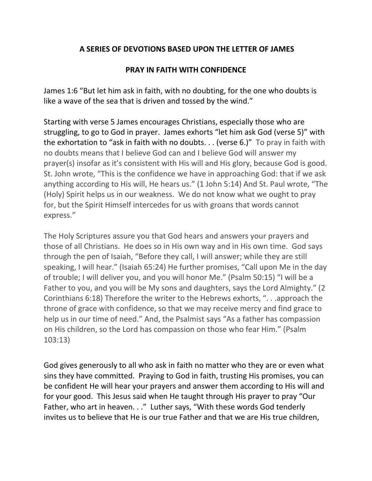## **A SERIES OF DEVOTIONS BASED UPON THE LETTER OF JAMES**

## **PRAY IN FAITH WITH CONFIDENCE**

James 1:6 "But let him ask in faith, with no doubting, for the one who doubts is like a wave of the sea that is driven and tossed by the wind."

Starting with verse 5 James encourages Christians, especially those who are struggling, to go to God in prayer. James exhorts "let him ask God (verse 5)" with the exhortation to "ask in faith with no doubts. . . (verse 6.)" To pray in faith with no doubts means that I believe God can and I believe God will answer my prayer(s) insofar as it's consistent with His will and His glory, because God is good. St. John wrote, "This is the confidence we have in approaching God: that if we ask anything according to His will, He hears us." (1 John 5:14) And St. Paul wrote, "The (Holy) Spirit helps us in our weakness. We do not know what we ought to pray for, but the Spirit Himself intercedes for us with groans that words cannot express."

The Holy Scriptures assure you that God hears and answers your prayers and those of all Christians. He does so in His own way and in His own time. God says through the pen of Isaiah, "Before they call, I will answer; while they are still speaking, I will hear." (Isaiah 65:24) He further promises, "Call upon Me in the day of trouble; I will deliver you, and you will honor Me." (Psalm 50:15) "I will be a Father to you, and you will be My sons and daughters, says the Lord Almighty." (2 Corinthians 6:18) Therefore the writer to the Hebrews exhorts, ". . .approach the throne of grace with confidence, so that we may receive mercy and find grace to help us in our time of need." And, the Psalmist says "As a father has compassion on His children, so the Lord has compassion on those who fear Him." (Psalm 103:13)

God gives generously to all who ask in faith no matter who they are or even what sins they have committed. Praying to God in faith, trusting His promises, you can be confident He will hear your prayers and answer them according to His will and for your good. This Jesus said when He taught through His prayer to pray "Our Father, who art in heaven. . ." Luther says, "With these words God tenderly invites us to believe that He is our true Father and that we are His true children,